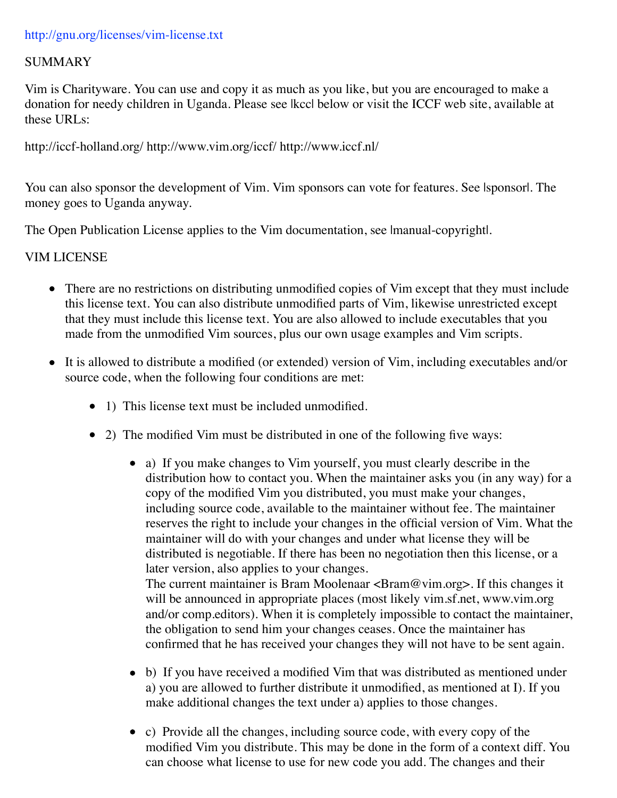## SUMMARY

Vim is Charityware. You can use and copy it as much as you like, but you are encouraged to make a donation for needy children in Uganda. Please see |kcc| below or visit the ICCF web site, available at these URLs:

http://iccf-holland.org/ http://www.vim.org/iccf/ http://www.iccf.nl/

You can also sponsor the development of Vim. Vim sponsors can vote for features. See Isponsorl. The money goes to Uganda anyway.

The Open Publication License applies to the Vim documentation, see Imanual-copyright.

## VIM LICENSE

- There are no restrictions on distributing unmodified copies of Vim except that they must include this license text. You can also distribute unmodified parts of Vim, likewise unrestricted except that they must include this license text. You are also allowed to include executables that you made from the unmodified Vim sources, plus our own usage examples and Vim scripts.
- It is allowed to distribute a modified (or extended) version of Vim, including executables and/or source code, when the following four conditions are met:
	- 1) This license text must be included unmodified.
	- 2) The modified Vim must be distributed in one of the following five ways:
		- a) If you make changes to Vim yourself, you must clearly describe in the distribution how to contact you. When the maintainer asks you (in any way) for a copy of the modified Vim you distributed, you must make your changes, including source code, available to the maintainer without fee. The maintainer reserves the right to include your changes in the official version of Vim. What the maintainer will do with your changes and under what license they will be distributed is negotiable. If there has been no negotiation then this license, or a later version, also applies to your changes. The current maintainer is Bram Moolenaar  $\langle$ Bram@vim.org>. If this changes it will be announced in appropriate places (most likely vim.sf.net, www.vim.org and/or comp.editors). When it is completely impossible to contact the maintainer, the obligation to send him your changes ceases. Once the maintainer has

confirmed that he has received your changes they will not have to be sent again.

- b) If you have received a modified Vim that was distributed as mentioned under a) you are allowed to further distribute it unmodified, as mentioned at I). If you make additional changes the text under a) applies to those changes.
- c) Provide all the changes, including source code, with every copy of the modified Vim you distribute. This may be done in the form of a context diff. You can choose what license to use for new code you add. The changes and their